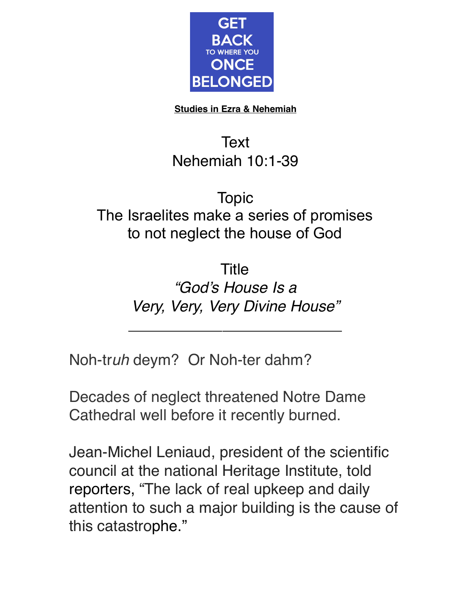

**Studies in Ezra & Nehemiah**

## **Text** Nehemiah 10:1-39

## Topic The Israelites make a series of promises to not neglect the house of God

**Title** *"God's House Is a Very, Very, Very Divine House"*

 $\overline{\phantom{a}}$  , where  $\overline{\phantom{a}}$  , where  $\overline{\phantom{a}}$  , where  $\overline{\phantom{a}}$  , where  $\overline{\phantom{a}}$ 

Noh-tr*uh* deym? Or Noh-ter dahm?

Decades of neglect threatened Notre Dame Cathedral well before it recently burned.

Jean-Michel Leniaud, president of the scientific council at the national Heritage Institute, told reporters, "The lack of real upkeep and daily attention to such a major building is the cause of this catastrophe."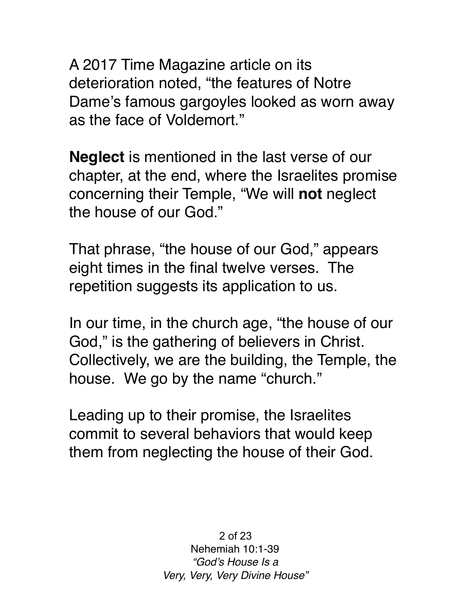A 2017 Time Magazine article on its deterioration noted, "the features of Notre Dame's famous gargoyles looked as worn away as the face of Voldemort."

**Neglect** is mentioned in the last verse of our chapter, at the end, where the Israelites promise concerning their Temple, "We will **not** neglect the house of our God."

That phrase, "the house of our God," appears eight times in the final twelve verses. The repetition suggests its application to us.

In our time, in the church age, "the house of our God," is the gathering of believers in Christ. Collectively, we are the building, the Temple, the house. We go by the name "church."

Leading up to their promise, the Israelites commit to several behaviors that would keep them from neglecting the house of their God.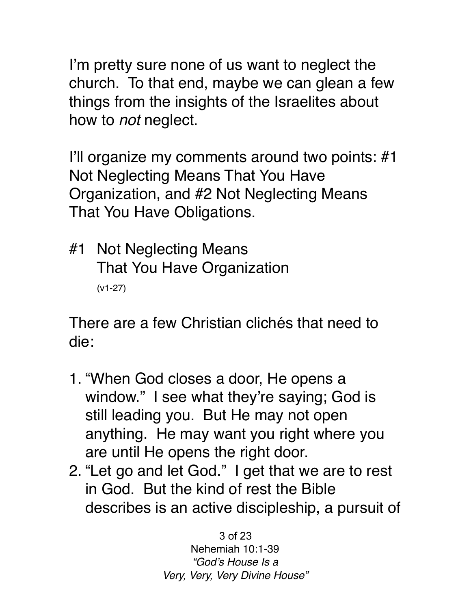I'm pretty sure none of us want to neglect the church. To that end, maybe we can glean a few things from the insights of the Israelites about how to *not* neglect.

I'll organize my comments around two points: #1 Not Neglecting Means That You Have Organization, and #2 Not Neglecting Means That You Have Obligations.

#1 Not Neglecting Means That You Have Organization (v1-27)

There are a few Christian clichés that need to die:

- 1. "When God closes a door, He opens a window." I see what they're saying; God is still leading you. But He may not open anything. He may want you right where you are until He opens the right door.
- 2. "Let go and let God." I get that we are to rest in God. But the kind of rest the Bible describes is an active discipleship, a pursuit of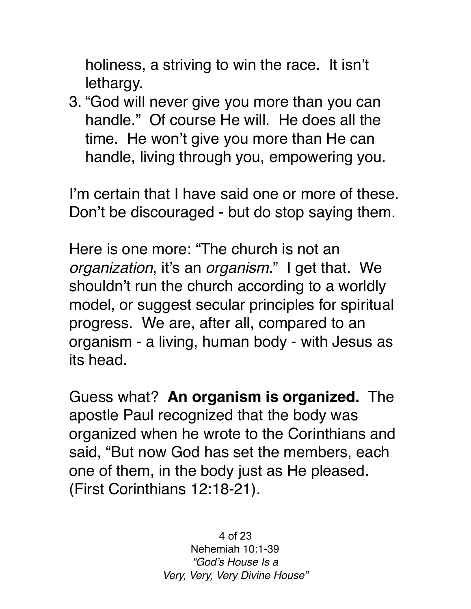holiness, a striving to win the race. It isn't lethargy.

3. "God will never give you more than you can handle." Of course He will. He does all the time. He won't give you more than He can handle, living through you, empowering you.

I'm certain that I have said one or more of these. Don't be discouraged - but do stop saying them.

Here is one more: "The church is not an *organization*, it's an *organism*." I get that. We shouldn't run the church according to a worldly model, or suggest secular principles for spiritual progress. We are, after all, compared to an organism - a living, human body - with Jesus as its head.

Guess what? **An organism is organized.** The apostle Paul recognized that the body was organized when he wrote to the Corinthians and said, "But now God has set the members, each one of them, in the body just as He pleased. (First Corinthians 12:18-21).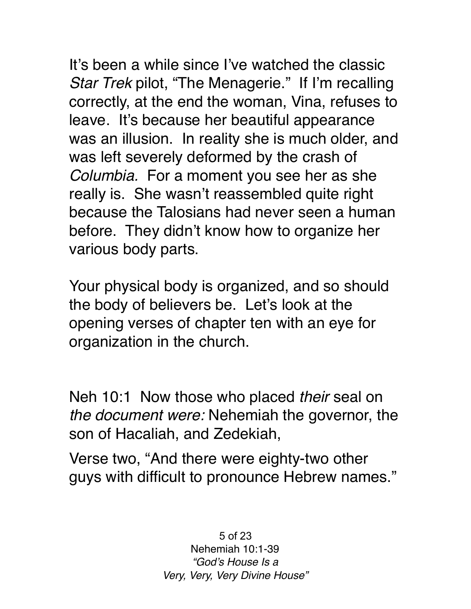It's been a while since I've watched the classic *Star Trek* pilot, "The Menagerie." If I'm recalling correctly, at the end the woman, Vina, refuses to leave. It's because her beautiful appearance was an illusion. In reality she is much older, and was left severely deformed by the crash of *Columbia.* For a moment you see her as she really is. She wasn't reassembled quite right because the Talosians had never seen a human before. They didn't know how to organize her various body parts.

Your physical body is organized, and so should the body of believers be. Let's look at the opening verses of chapter ten with an eye for organization in the church.

Neh 10:1 Now those who placed *their* seal on *the document were:* Nehemiah the governor, the son of Hacaliah, and Zedekiah,

Verse two, "And there were eighty-two other guys with difficult to pronounce Hebrew names."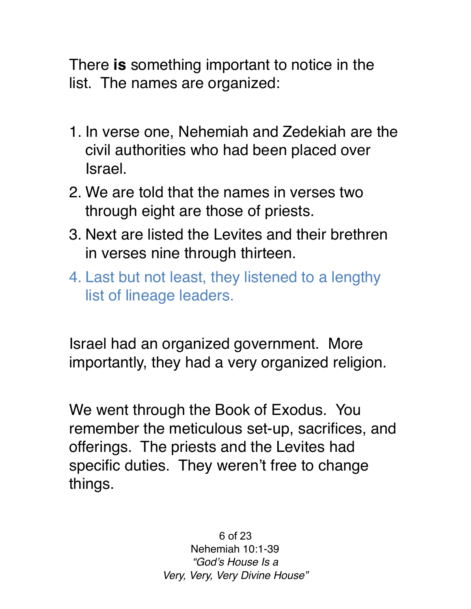There **is** something important to notice in the list. The names are organized:

- 1. In verse one, Nehemiah and Zedekiah are the civil authorities who had been placed over Israel.
- 2. We are told that the names in verses two through eight are those of priests.
- 3. Next are listed the Levites and their brethren in verses nine through thirteen.
- 4. Last but not least, they listened to a lengthy list of lineage leaders.

Israel had an organized government. More importantly, they had a very organized religion.

We went through the Book of Exodus. You remember the meticulous set-up, sacrifices, and offerings. The priests and the Levites had specific duties. They weren't free to change things.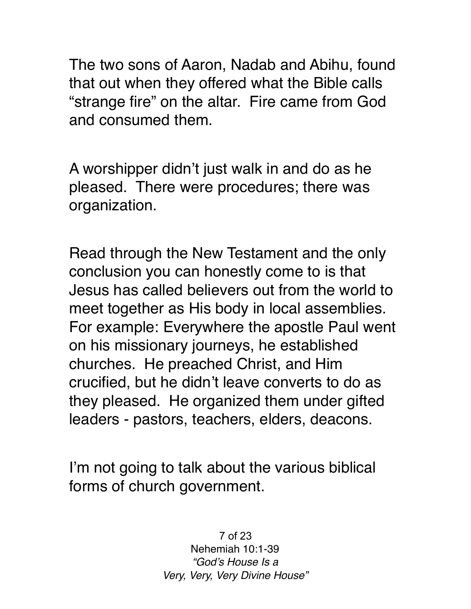The two sons of Aaron, Nadab and Abihu, found that out when they offered what the Bible calls "strange fire" on the altar. Fire came from God and consumed them.

A worshipper didn't just walk in and do as he pleased. There were procedures; there was organization.

Read through the New Testament and the only conclusion you can honestly come to is that Jesus has called believers out from the world to meet together as His body in local assemblies. For example: Everywhere the apostle Paul went on his missionary journeys, he established churches. He preached Christ, and Him crucified, but he didn't leave converts to do as they pleased. He organized them under gifted leaders - pastors, teachers, elders, deacons.

I'm not going to talk about the various biblical forms of church government.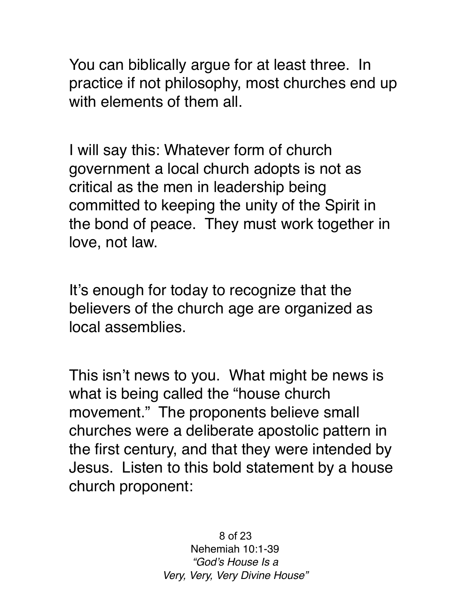You can biblically argue for at least three. In practice if not philosophy, most churches end up with elements of them all.

I will say this: Whatever form of church government a local church adopts is not as critical as the men in leadership being committed to keeping the unity of the Spirit in the bond of peace. They must work together in love, not law.

It's enough for today to recognize that the believers of the church age are organized as local assemblies.

This isn't news to you. What might be news is what is being called the "house church movement." The proponents believe small churches were a deliberate apostolic pattern in the first century, and that they were intended by Jesus. Listen to this bold statement by a house church proponent: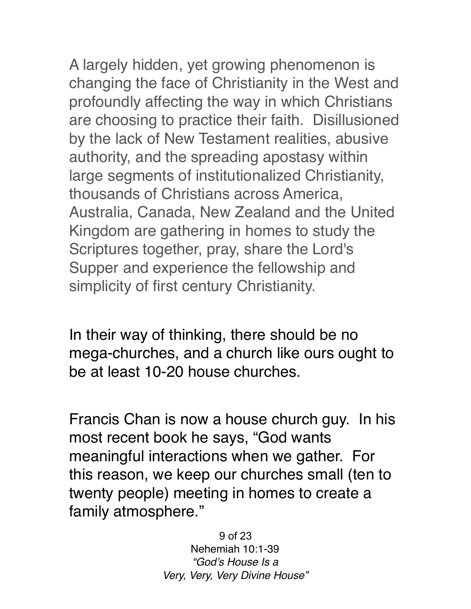A largely hidden, yet growing phenomenon is changing the face of Christianity in the West and profoundly affecting the way in which Christians are choosing to practice their faith. Disillusioned by the lack of New Testament realities, abusive authority, and the spreading apostasy within large segments of institutionalized Christianity, thousands of Christians across America, Australia, Canada, New Zealand and the United Kingdom are gathering in homes to study the Scriptures together, pray, share the Lord's Supper and experience the fellowship and simplicity of first century Christianity.

In their way of thinking, there should be no mega-churches, and a church like ours ought to be at least 10-20 house churches.

Francis Chan is now a house church guy. In his most recent book he says, "God wants meaningful interactions when we gather. For this reason, we keep our churches small (ten to twenty people) meeting in homes to create a family atmosphere."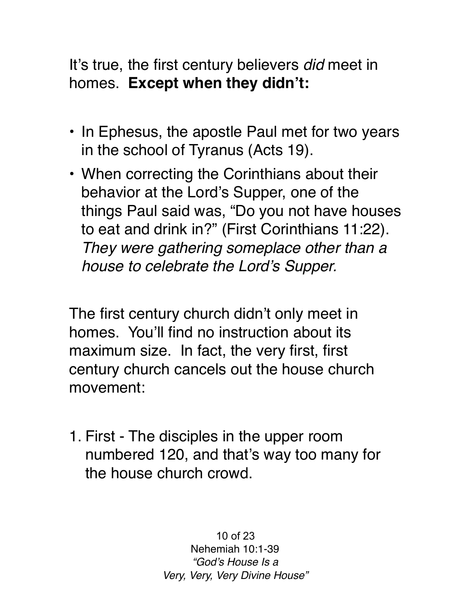It's true, the first century believers *did* meet in homes. **Except when they didn't:**

- In Ephesus, the apostle Paul met for two years in the school of Tyranus (Acts 19).
- When correcting the Corinthians about their behavior at the Lord's Supper, one of the things Paul said was, "Do you not have houses to eat and drink in?" (First Corinthians 11:22). *They were gathering someplace other than a house to celebrate the Lord's Supper.*

The first century church didn't only meet in homes. You'll find no instruction about its maximum size. In fact, the very first, first century church cancels out the house church movement:

1. First - The disciples in the upper room numbered 120, and that's way too many for the house church crowd.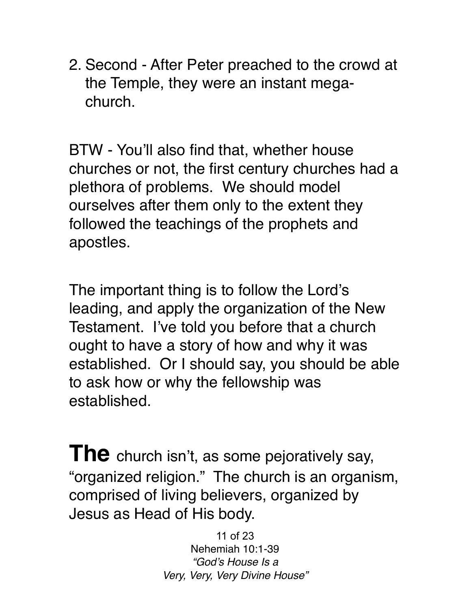2. Second - After Peter preached to the crowd at the Temple, they were an instant megachurch.

BTW - You'll also find that, whether house churches or not, the first century churches had a plethora of problems. We should model ourselves after them only to the extent they followed the teachings of the prophets and apostles.

The important thing is to follow the Lord's leading, and apply the organization of the New Testament. I've told you before that a church ought to have a story of how and why it was established. Or I should say, you should be able to ask how or why the fellowship was established.

**The** church isn't, as some pejoratively say, "organized religion." The church is an organism, comprised of living believers, organized by Jesus as Head of His body.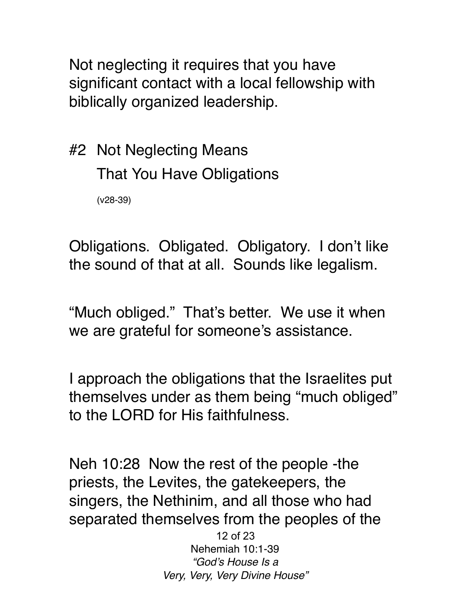Not neglecting it requires that you have significant contact with a local fellowship with biblically organized leadership.

#2 Not Neglecting Means That You Have Obligations (v28-39)

Obligations. Obligated. Obligatory. I don't like the sound of that at all. Sounds like legalism.

"Much obliged." That's better. We use it when we are grateful for someone's assistance.

I approach the obligations that the Israelites put themselves under as them being "much obliged" to the LORD for His faithfulness.

Neh 10:28 Now the rest of the people -the priests, the Levites, the gatekeepers, the singers, the Nethinim, and all those who had separated themselves from the peoples of the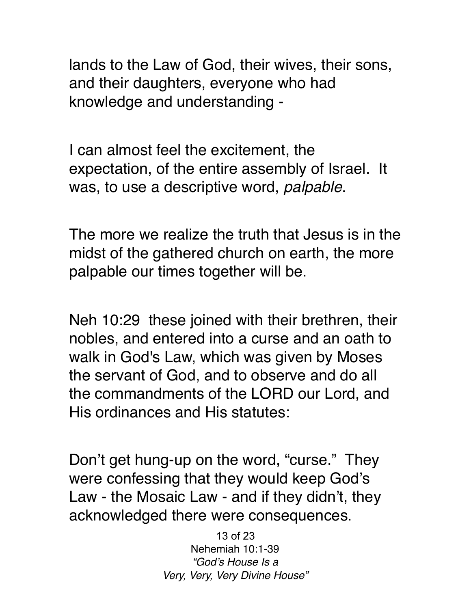lands to the Law of God, their wives, their sons, and their daughters, everyone who had knowledge and understanding -

I can almost feel the excitement, the expectation, of the entire assembly of Israel. It was, to use a descriptive word, *palpable*.

The more we realize the truth that Jesus is in the midst of the gathered church on earth, the more palpable our times together will be.

Neh 10:29 these joined with their brethren, their nobles, and entered into a curse and an oath to walk in God's Law, which was given by Moses the servant of God, and to observe and do all the commandments of the LORD our Lord, and His ordinances and His statutes:

Don't get hung-up on the word, "curse." They were confessing that they would keep God's Law - the Mosaic Law - and if they didn't, they acknowledged there were consequences.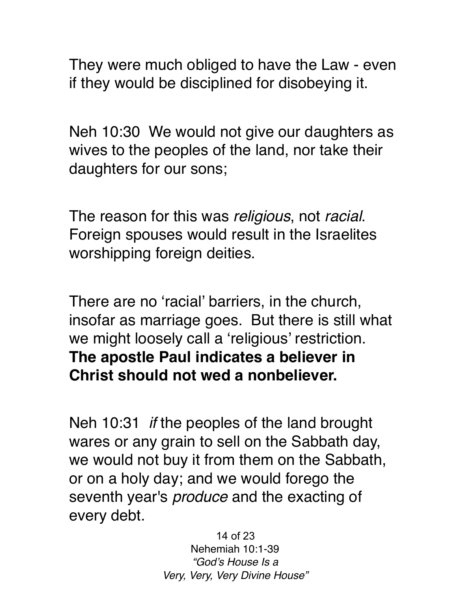They were much obliged to have the Law - even if they would be disciplined for disobeying it.

Neh 10:30 We would not give our daughters as wives to the peoples of the land, nor take their daughters for our sons;

The reason for this was *religious*, not *racial*. Foreign spouses would result in the Israelites worshipping foreign deities.

There are no 'racial' barriers, in the church, insofar as marriage goes. But there is still what we might loosely call a 'religious' restriction. **The apostle Paul indicates a believer in Christ should not wed a nonbeliever.** 

Neh 10:31 *if* the peoples of the land brought wares or any grain to sell on the Sabbath day, we would not buy it from them on the Sabbath, or on a holy day; and we would forego the seventh year's *produce* and the exacting of every debt.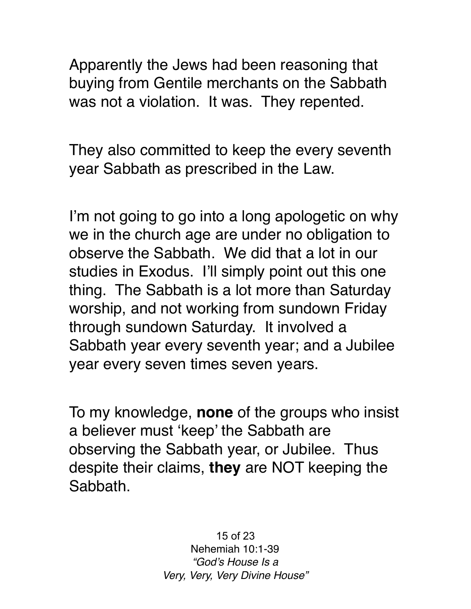Apparently the Jews had been reasoning that buying from Gentile merchants on the Sabbath was not a violation. It was. They repented.

They also committed to keep the every seventh year Sabbath as prescribed in the Law.

I'm not going to go into a long apologetic on why we in the church age are under no obligation to observe the Sabbath. We did that a lot in our studies in Exodus. I'll simply point out this one thing. The Sabbath is a lot more than Saturday worship, and not working from sundown Friday through sundown Saturday. It involved a Sabbath year every seventh year; and a Jubilee year every seven times seven years.

To my knowledge, **none** of the groups who insist a believer must 'keep' the Sabbath are observing the Sabbath year, or Jubilee. Thus despite their claims, **they** are NOT keeping the Sabbath.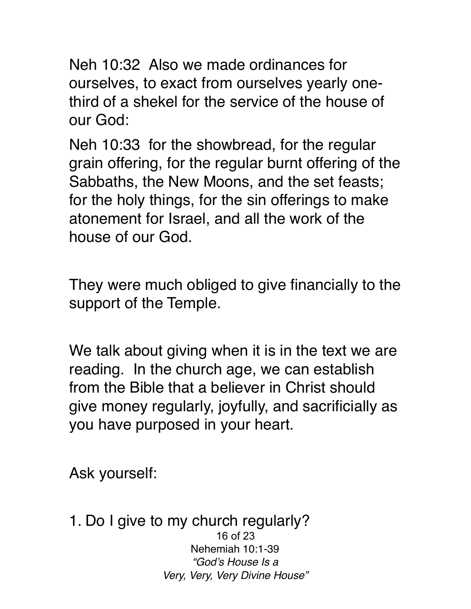Neh 10:32 Also we made ordinances for ourselves, to exact from ourselves yearly onethird of a shekel for the service of the house of our God:

Neh 10:33 for the showbread, for the regular grain offering, for the regular burnt offering of the Sabbaths, the New Moons, and the set feasts; for the holy things, for the sin offerings to make atonement for Israel, and all the work of the house of our God.

They were much obliged to give financially to the support of the Temple.

We talk about giving when it is in the text we are reading. In the church age, we can establish from the Bible that a believer in Christ should give money regularly, joyfully, and sacrificially as you have purposed in your heart.

Ask yourself:

1. Do I give to my church regularly? 16 of 23 Nehemiah 10:1-39 *"God's House Is a Very, Very, Very Divine House"*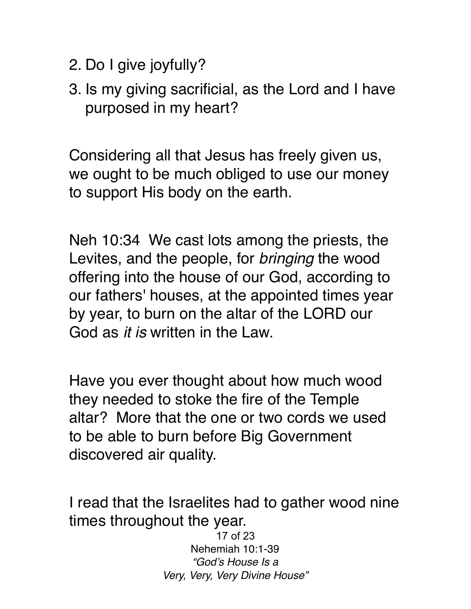- 2. Do I give joyfully?
- 3. Is my giving sacrificial, as the Lord and I have purposed in my heart?

Considering all that Jesus has freely given us, we ought to be much obliged to use our money to support His body on the earth.

Neh 10:34 We cast lots among the priests, the Levites, and the people, for *bringing* the wood offering into the house of our God, according to our fathers' houses, at the appointed times year by year, to burn on the altar of the LORD our God as *it is* written in the Law.

Have you ever thought about how much wood they needed to stoke the fire of the Temple altar? More that the one or two cords we used to be able to burn before Big Government discovered air quality.

I read that the Israelites had to gather wood nine times throughout the year.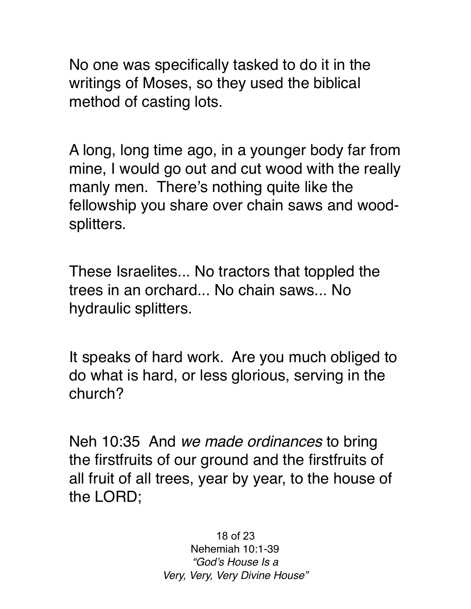No one was specifically tasked to do it in the writings of Moses, so they used the biblical method of casting lots.

A long, long time ago, in a younger body far from mine, I would go out and cut wood with the really manly men. There's nothing quite like the fellowship you share over chain saws and woodsplitters.

These Israelites... No tractors that toppled the trees in an orchard... No chain saws... No hydraulic splitters.

It speaks of hard work. Are you much obliged to do what is hard, or less glorious, serving in the church?

Neh 10:35 And *we made ordinances* to bring the firstfruits of our ground and the firstfruits of all fruit of all trees, year by year, to the house of the LORD;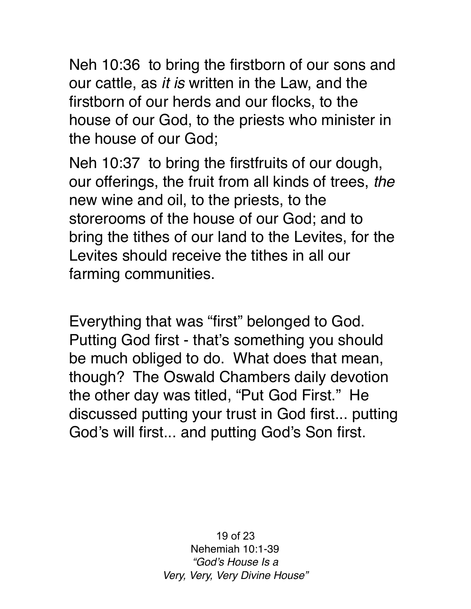Neh 10:36 to bring the firstborn of our sons and our cattle, as *it is* written in the Law, and the firstborn of our herds and our flocks, to the house of our God, to the priests who minister in the house of our God;

Neh 10:37 to bring the firstfruits of our dough, our offerings, the fruit from all kinds of trees, *the* new wine and oil, to the priests, to the storerooms of the house of our God; and to bring the tithes of our land to the Levites, for the Levites should receive the tithes in all our farming communities.

Everything that was "first" belonged to God. Putting God first - that's something you should be much obliged to do. What does that mean, though? The Oswald Chambers daily devotion the other day was titled, "Put God First." He discussed putting your trust in God first... putting God's will first... and putting God's Son first.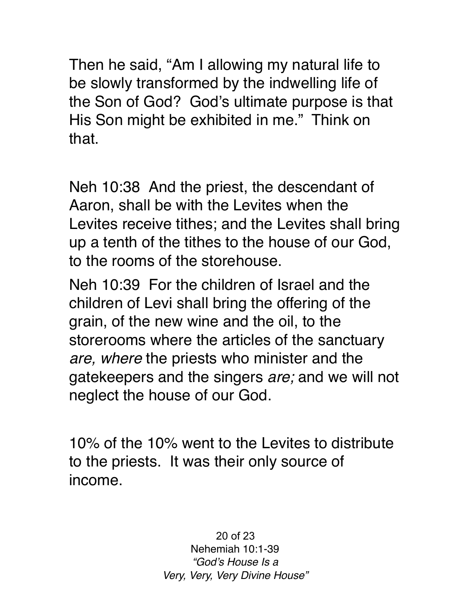Then he said, "Am I allowing my natural life to be slowly transformed by the indwelling life of the Son of God? God's ultimate purpose is that His Son might be exhibited in me." Think on that.

Neh 10:38 And the priest, the descendant of Aaron, shall be with the Levites when the Levites receive tithes; and the Levites shall bring up a tenth of the tithes to the house of our God, to the rooms of the storehouse.

Neh 10:39 For the children of Israel and the children of Levi shall bring the offering of the grain, of the new wine and the oil, to the storerooms where the articles of the sanctuary *are, where* the priests who minister and the gatekeepers and the singers *are;* and we will not neglect the house of our God.

10% of the 10% went to the Levites to distribute to the priests. It was their only source of income.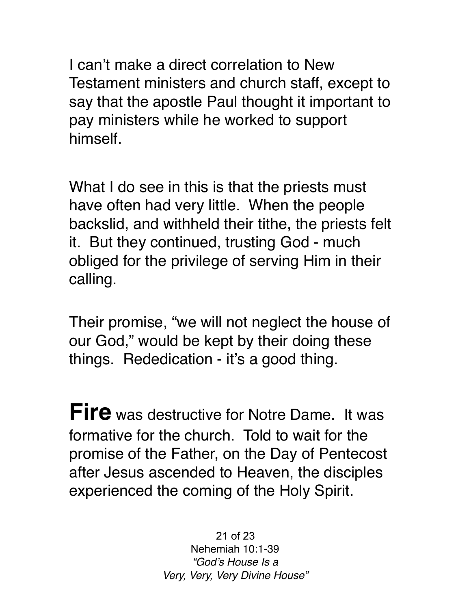I can't make a direct correlation to New Testament ministers and church staff, except to say that the apostle Paul thought it important to pay ministers while he worked to support himself.

What I do see in this is that the priests must have often had very little. When the people backslid, and withheld their tithe, the priests felt it. But they continued, trusting God - much obliged for the privilege of serving Him in their calling.

Their promise, "we will not neglect the house of our God," would be kept by their doing these things. Rededication - it's a good thing.

**Fire** was destructive for Notre Dame. It was formative for the church. Told to wait for the promise of the Father, on the Day of Pentecost after Jesus ascended to Heaven, the disciples experienced the coming of the Holy Spirit.